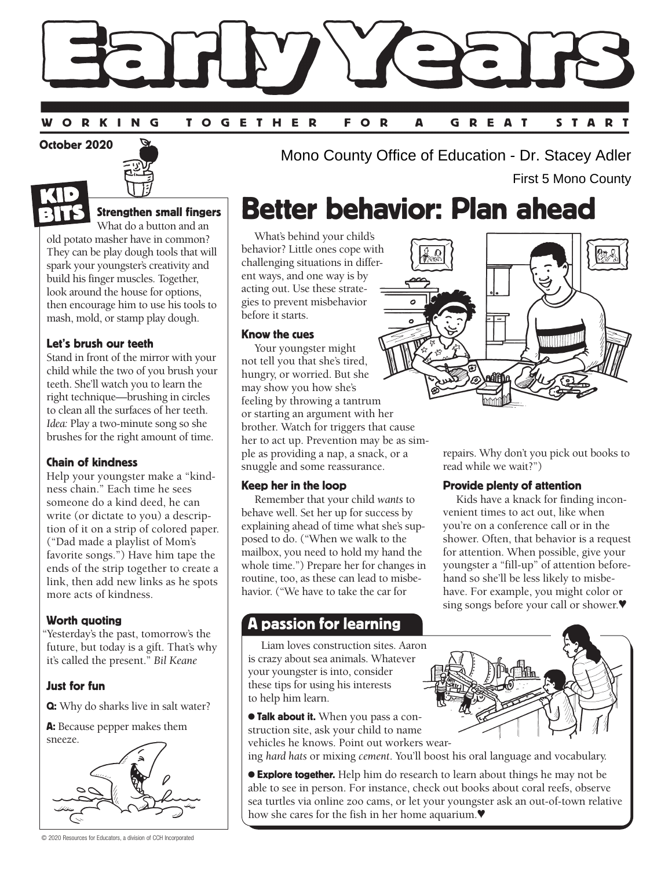#### START ORKING **TOGETHER** F O R A GREAT

October 2020



### Strengthen small fingers

What do a button and an old potato masher have in common? They can be play dough tools that will spark your youngster's creativity and build his finger muscles. Together, look around the house for options, then encourage him to use his tools to mash, mold, or stamp play dough.

### Let's brush our teeth

Stand in front of the mirror with your child while the two of you brush your teeth. She'll watch you to learn the right technique—brushing in circles to clean all the surfaces of her teeth. *Idea:* Play a two-minute song so she brushes for the right amount of time.

### Chain of kindness

Help your youngster make a "kindness chain." Each time he sees someone do a kind deed, he can write (or dictate to you) a description of it on a strip of colored paper. ("Dad made a playlist of Mom's favorite songs.") Have him tape the ends of the strip together to create a link, then add new links as he spots more acts of kindness.

### Worth quoting

"Yesterday's the past, tomorrow's the future, but today is a gift. That's why it's called the present." *Bil Keane*

### Just for fun

Q: Why do sharks live in salt water?

A: Because pepper makes them



© 2020 Resources for Educators, a division of CCH Incorporated

Mono County Office of Education - Dr. Stacey Adler First 5 Mono County

## Better behavior: Plan ahead

What's behind your child's behavior? Little ones cope with challenging situations in different ways, and one way is by acting out. Use these strategies to prevent misbehavior before it starts.

#### Know the cues

Your youngster might not tell you that she's tired, hungry, or worried. But she may show you how she's feeling by throwing a tantrum or starting an argument with her brother. Watch for triggers that cause her to act up. Prevention may be as simple as providing a nap, a snack, or a snuggle and some reassurance.

### Keep her in the loop

Remember that your child *wants* to behave well. Set her up for success by explaining ahead of time what she's supposed to do. ("When we walk to the mailbox, you need to hold my hand the whole time.") Prepare her for changes in routine, too, as these can lead to misbehavior. ("We have to take the car for

## A passion for learning

Liam loves construction sites. Aaron is crazy about sea animals. Whatever your youngster is into, consider these tips for using his interests to help him learn.

**Talk about it.** When you pass a construction site, ask your child to name vehicles he knows. Point out workers wear-

ing *hard hats* or mixing *cement*. You'll boost his oral language and vocabulary.

**Explore together.** Help him do research to learn about things he may not be able to see in person. For instance, check out books about coral reefs, observe sea turtles via online zoo cams, or let your youngster ask an out-of-town relative how she cares for the fish in her home aquarium.♥



repairs. Why don't you pick out books to read while we wait?")

### Provide plenty of attention

Kids have a knack for finding inconvenient times to act out, like when you're on a conference call or in the shower. Often, that behavior is a request for attention. When possible, give your youngster a "fill-up" of attention beforehand so she'll be less likely to misbehave. For example, you might color or sing songs before your call or shower.♥